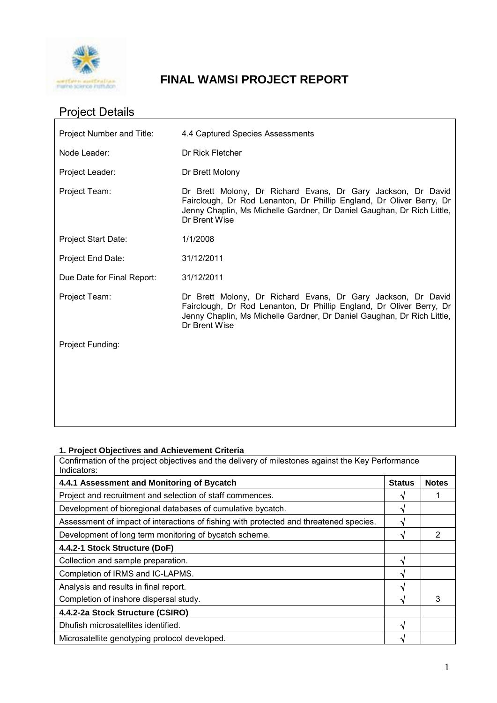

# **FINAL WAMSI PROJECT REPORT**

# Project Details

| Project Number and Title:  | 4.4 Captured Species Assessments                                                                                                                                                                                                |
|----------------------------|---------------------------------------------------------------------------------------------------------------------------------------------------------------------------------------------------------------------------------|
| Node Leader:               | Dr Rick Fletcher                                                                                                                                                                                                                |
| Project Leader:            | Dr Brett Molony                                                                                                                                                                                                                 |
| Project Team:              | Dr Brett Molony, Dr Richard Evans, Dr Gary Jackson, Dr David<br>Fairclough, Dr Rod Lenanton, Dr Phillip England, Dr Oliver Berry, Dr<br>Jenny Chaplin, Ms Michelle Gardner, Dr Daniel Gaughan, Dr Rich Little,<br>Dr Brent Wise |
| <b>Project Start Date:</b> | 1/1/2008                                                                                                                                                                                                                        |
| Project End Date:          | 31/12/2011                                                                                                                                                                                                                      |
| Due Date for Final Report: | 31/12/2011                                                                                                                                                                                                                      |
| Project Team:              | Dr Brett Molony, Dr Richard Evans, Dr Gary Jackson, Dr David<br>Fairclough, Dr Rod Lenanton, Dr Phillip England, Dr Oliver Berry, Dr<br>Jenny Chaplin, Ms Michelle Gardner, Dr Daniel Gaughan, Dr Rich Little,<br>Dr Brent Wise |
| Project Funding:           |                                                                                                                                                                                                                                 |
|                            |                                                                                                                                                                                                                                 |
|                            |                                                                                                                                                                                                                                 |
|                            |                                                                                                                                                                                                                                 |

# **1. Project Objectives and Achievement Criteria**

Confirmation of the project objectives and the delivery of milestones against the Key Performance Indicators:

| 4.4.1 Assessment and Monitoring of Bycatch                                             |   | <b>Notes</b> |
|----------------------------------------------------------------------------------------|---|--------------|
| Project and recruitment and selection of staff commences.                              |   |              |
| Development of bioregional databases of cumulative bycatch.                            |   |              |
| Assessment of impact of interactions of fishing with protected and threatened species. |   |              |
| Development of long term monitoring of bycatch scheme.                                 |   | 2            |
| 4.4.2-1 Stock Structure (DoF)                                                          |   |              |
| Collection and sample preparation.                                                     |   |              |
| Completion of IRMS and IC-LAPMS.                                                       |   |              |
| Analysis and results in final report.                                                  | N |              |
| Completion of inshore dispersal study.                                                 |   | 3            |
| 4.4.2-2a Stock Structure (CSIRO)                                                       |   |              |
| Dhufish microsatellites identified.                                                    |   |              |
| Microsatellite genotyping protocol developed.                                          |   |              |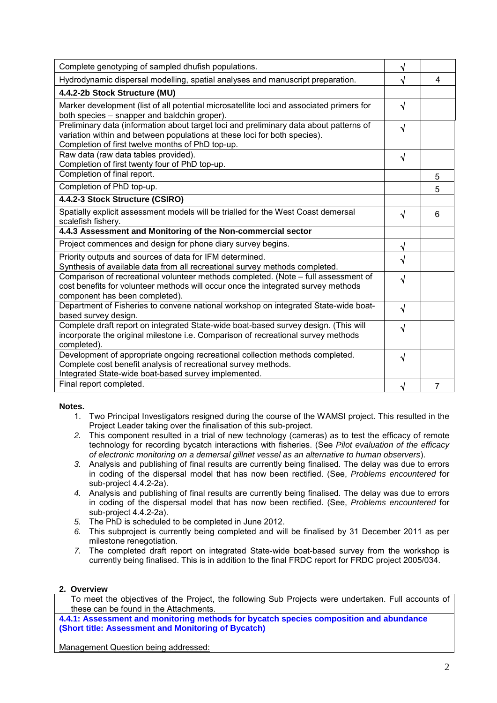| Complete genotyping of sampled dhufish populations.                                                                                                                                                                     |           |   |
|-------------------------------------------------------------------------------------------------------------------------------------------------------------------------------------------------------------------------|-----------|---|
| Hydrodynamic dispersal modelling, spatial analyses and manuscript preparation.                                                                                                                                          |           | 4 |
| 4.4.2-2b Stock Structure (MU)                                                                                                                                                                                           |           |   |
| Marker development (list of all potential microsatellite loci and associated primers for<br>both species - snapper and baldchin groper).                                                                                | $\sqrt{}$ |   |
| Preliminary data (information about target loci and preliminary data about patterns of<br>variation within and between populations at these loci for both species).<br>Completion of first twelve months of PhD top-up. | $\sqrt{}$ |   |
| Raw data (raw data tables provided).<br>Completion of first twenty four of PhD top-up.                                                                                                                                  | $\sqrt{}$ |   |
| Completion of final report.                                                                                                                                                                                             |           | 5 |
| Completion of PhD top-up.                                                                                                                                                                                               |           | 5 |
| 4.4.2-3 Stock Structure (CSIRO)                                                                                                                                                                                         |           |   |
| Spatially explicit assessment models will be trialled for the West Coast demersal<br>scalefish fishery.                                                                                                                 | √         | 6 |
| 4.4.3 Assessment and Monitoring of the Non-commercial sector                                                                                                                                                            |           |   |
| Project commences and design for phone diary survey begins.                                                                                                                                                             | √         |   |
| Priority outputs and sources of data for IFM determined.<br>Synthesis of available data from all recreational survey methods completed.                                                                                 | $\sqrt{}$ |   |
| Comparison of recreational volunteer methods completed. (Note - full assessment of<br>cost benefits for volunteer methods will occur once the integrated survey methods<br>component has been completed).               | $\sqrt{}$ |   |
| Department of Fisheries to convene national workshop on integrated State-wide boat-<br>based survey design.                                                                                                             | $\sqrt{}$ |   |
| Complete draft report on integrated State-wide boat-based survey design. (This will<br>incorporate the original milestone i.e. Comparison of recreational survey methods<br>completed).                                 | $\sqrt{}$ |   |
| Development of appropriate ongoing recreational collection methods completed.<br>Complete cost benefit analysis of recreational survey methods.<br>Integrated State-wide boat-based survey implemented.                 | $\sqrt{}$ |   |
| Final report completed.                                                                                                                                                                                                 | √         | 7 |

# **Notes.**

- 1. Two Principal Investigators resigned during the course of the WAMSI project. This resulted in the Project Leader taking over the finalisation of this sub-project.
- *2.* This component resulted in a trial of new technology (cameras) as to test the efficacy of remote technology for recording bycatch interactions with fisheries. (See *Pilot evaluation of the efficacy of electronic monitoring on a demersal gillnet vessel as an alternative to human observers*).
- *3.* Analysis and publishing of final results are currently being finalised. The delay was due to errors in coding of the dispersal model that has now been rectified. (See, *Problems encountered* for sub-project 4.4.2-2a).
- *4.* Analysis and publishing of final results are currently being finalised. The delay was due to errors in coding of the dispersal model that has now been rectified. (See, *Problems encountered* for sub-project 4.4.2-2a).
- *5.* The PhD is scheduled to be completed in June 2012.
- *6.* This subproject is currently being completed and will be finalised by 31 December 2011 as per milestone renegotiation.
- *7.* The completed draft report on integrated State-wide boat-based survey from the workshop is currently being finalised. This is in addition to the final FRDC report for FRDC project 2005/034.

# **2. Overview**

To meet the objectives of the Project, the following Sub Projects were undertaken. Full accounts of these can be found in the Attachments.

**4.4.1: Assessment and monitoring methods for bycatch species composition and abundance (Short title: Assessment and Monitoring of Bycatch)** 

Management Question being addressed: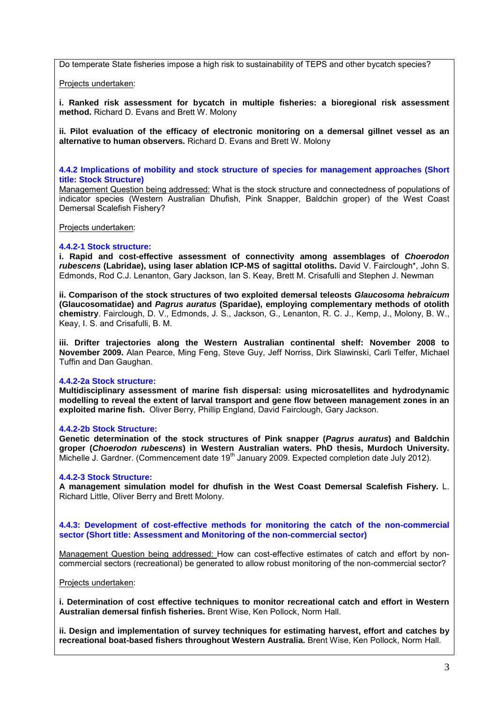Do temperate State fisheries impose a high risk to sustainability of TEPS and other bycatch species?

Projects undertaken:

**i. Ranked risk assessment for bycatch in multiple fisheries: a bioregional risk assessment method.** Richard D. Evans and Brett W. Molony

**ii. Pilot evaluation of the efficacy of electronic monitoring on a demersal gillnet vessel as an alternative to human observers.** Richard D. Evans and Brett W. Molony

**4.4.2 Implications of mobility and stock structure of species for management approaches (Short title: Stock Structure)**

Management Question being addressed: What is the stock structure and connectedness of populations of indicator species (Western Australian Dhufish, Pink Snapper, Baldchin groper) of the West Coast Demersal Scalefish Fishery?

Projects undertaken:

#### **4.4.2-1 Stock structure:**

**i. Rapid and cost-effective assessment of connectivity among assemblages of** *Choerodon rubescens* **(Labridae), using laser ablation ICP-MS of sagittal otoliths.** David V. Fairclough\*, John S. Edmonds, Rod C.J. Lenanton, Gary Jackson, Ian S. Keay, Brett M. Crisafulli and Stephen J. Newman

**ii. Comparison of the stock structures of two exploited demersal teleosts** *Glaucosoma hebraicum* **(Glaucosomatidae) and** *Pagrus auratus* **(Sparidae), employing complementary methods of otolith chemistry**. Fairclough, D. V., Edmonds, J. S., Jackson, G., Lenanton, R. C. J., Kemp, J., Molony, B. W., Keay, I. S. and Crisafulli, B. M.

**iii. Drifter trajectories along the Western Australian continental shelf: November 2008 to November 2009.** Alan Pearce, Ming Feng, Steve Guy, Jeff Norriss, Dirk Slawinski, Carli Telfer, Michael Tuffin and Dan Gaughan.

#### **4.4.2-2a Stock structure:**

**Multidisciplinary assessment of marine fish dispersal: using microsatellites and hydrodynamic modelling to reveal the extent of larval transport and gene flow between management zones in an exploited marine fish.** Oliver Berry, Phillip England, David Fairclough, Gary Jackson.

# **4.4.2-2b Stock Structure:**

**Genetic determination of the stock structures of Pink snapper (***Pagrus auratus***) and Baldchin groper (***Choerodon rubescens***) in Western Australian waters. PhD thesis, Murdoch University.**  Michelle J. Gardner. (Commencement date 19<sup>th</sup> January 2009. Expected completion date July 2012).

#### **4.4.2-3 Stock Structure:**

**A management simulation model for dhufish in the West Coast Demersal Scalefish Fishery.** L. Richard Little, Oliver Berry and Brett Molony.

**4.4.3: Development of cost-effective methods for monitoring the catch of the non-commercial sector (Short title: Assessment and Monitoring of the non-commercial sector)**

Management Question being addressed: How can cost-effective estimates of catch and effort by noncommercial sectors (recreational) be generated to allow robust monitoring of the non-commercial sector?

Projects undertaken:

**i. Determination of cost effective techniques to monitor recreational catch and effort in Western Australian demersal finfish fisheries.** Brent Wise, Ken Pollock, Norm Hall.

**ii. Design and implementation of survey techniques for estimating harvest, effort and catches by recreational boat-based fishers throughout Western Australia.** Brent Wise, Ken Pollock, Norm Hall.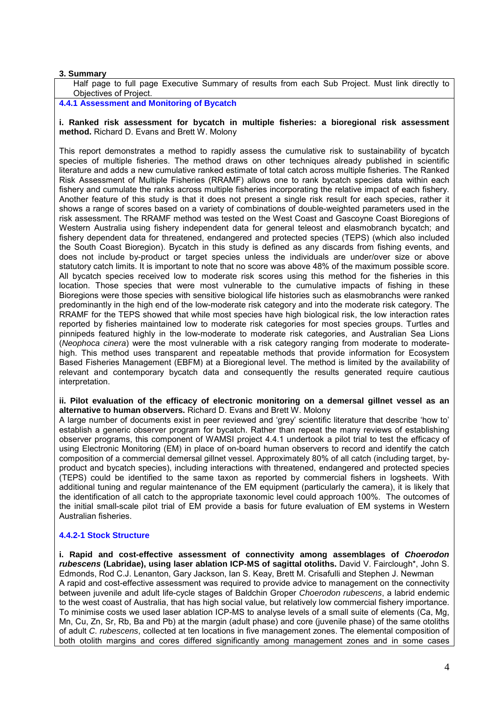# **3. Summary**

Half page to full page Executive Summary of results from each Sub Project. Must link directly to Objectives of Project.

**4.4.1 Assessment and Monitoring of Bycatch**

#### **i. Ranked risk assessment for bycatch in multiple fisheries: a bioregional risk assessment method.** Richard D. Evans and Brett W. Molony

This report demonstrates a method to rapidly assess the cumulative risk to sustainability of bycatch species of multiple fisheries. The method draws on other techniques already published in scientific literature and adds a new cumulative ranked estimate of total catch across multiple fisheries. The Ranked Risk Assessment of Multiple Fisheries (RRAMF) allows one to rank bycatch species data within each fishery and cumulate the ranks across multiple fisheries incorporating the relative impact of each fishery. Another feature of this study is that it does not present a single risk result for each species, rather it shows a range of scores based on a variety of combinations of double-weighted parameters used in the risk assessment. The RRAMF method was tested on the West Coast and Gascoyne Coast Bioregions of Western Australia using fishery independent data for general teleost and elasmobranch bycatch; and fishery dependent data for threatened, endangered and protected species (TEPS) (which also included the South Coast Bioregion). Bycatch in this study is defined as any discards from fishing events, and does not include by-product or target species unless the individuals are under/over size or above statutory catch limits. It is important to note that no score was above 48% of the maximum possible score. All bycatch species received low to moderate risk scores using this method for the fisheries in this location. Those species that were most vulnerable to the cumulative impacts of fishing in these Bioregions were those species with sensitive biological life histories such as elasmobranchs were ranked predominantly in the high end of the low-moderate risk category and into the moderate risk category. The RRAMF for the TEPS showed that while most species have high biological risk, the low interaction rates reported by fisheries maintained low to moderate risk categories for most species groups. Turtles and pinnipeds featured highly in the low-moderate to moderate risk categories, and Australian Sea Lions (*Neophoca cinera*) were the most vulnerable with a risk category ranging from moderate to moderatehigh. This method uses transparent and repeatable methods that provide information for Ecosystem Based Fisheries Management (EBFM) at a Bioregional level. The method is limited by the availability of relevant and contemporary bycatch data and consequently the results generated require cautious interpretation.

#### **ii. Pilot evaluation of the efficacy of electronic monitoring on a demersal gillnet vessel as an alternative to human observers.** Richard D. Evans and Brett W. Molony

A large number of documents exist in peer reviewed and 'grey' scientific literature that describe 'how to' establish a generic observer program for bycatch. Rather than repeat the many reviews of establishing observer programs, this component of WAMSI project 4.4.1 undertook a pilot trial to test the efficacy of using Electronic Monitoring (EM) in place of on-board human observers to record and identify the catch composition of a commercial demersal gillnet vessel. Approximately 80% of all catch (including target, byproduct and bycatch species), including interactions with threatened, endangered and protected species (TEPS) could be identified to the same taxon as reported by commercial fishers in logsheets. With additional tuning and regular maintenance of the EM equipment (particularly the camera), it is likely that the identification of all catch to the appropriate taxonomic level could approach 100%. The outcomes of the initial small-scale pilot trial of EM provide a basis for future evaluation of EM systems in Western Australian fisheries.

# **4.4.2-1 Stock Structure**

**i. Rapid and cost-effective assessment of connectivity among assemblages of** *Choerodon rubescens* **(Labridae), using laser ablation ICP-MS of sagittal otoliths.** David V. Fairclough\*, John S. Edmonds, Rod C.J. Lenanton, Gary Jackson, Ian S. Keay, Brett M. Crisafulli and Stephen J. Newman A rapid and cost-effective assessment was required to provide advice to management on the connectivity between juvenile and adult life-cycle stages of Baldchin Groper *Choerodon rubescens*, a labrid endemic to the west coast of Australia, that has high social value, but relatively low commercial fishery importance. To minimise costs we used laser ablation ICP-MS to analyse levels of a small suite of elements (Ca, Mg, Mn, Cu, Zn, Sr, Rb, Ba and Pb) at the margin (adult phase) and core (juvenile phase) of the same otoliths of adult *C. rubescens*, collected at ten locations in five management zones. The elemental composition of both otolith margins and cores differed significantly among management zones and in some cases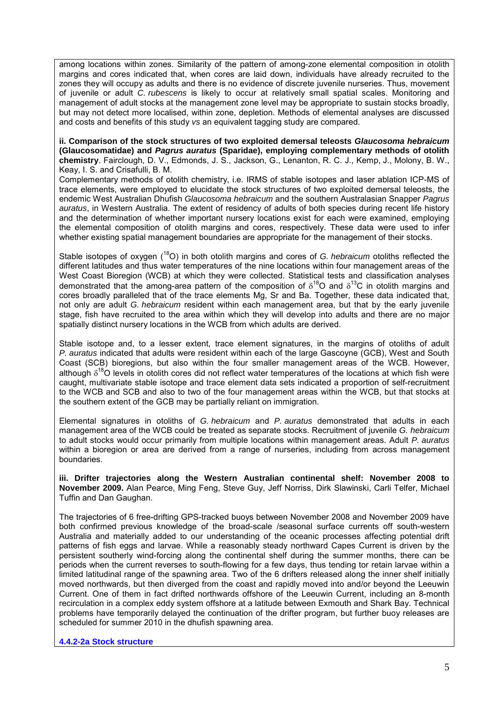among locations within zones. Similarity of the pattern of among-zone elemental composition in otolith margins and cores indicated that, when cores are laid down, individuals have already recruited to the zones they will occupy as adults and there is no evidence of discrete juvenile nurseries. Thus, movement of juvenile or adult *C. rubescens* is likely to occur at relatively small spatial scales. Monitoring and management of adult stocks at the management zone level may be appropriate to sustain stocks broadly, but may not detect more localised, within zone, depletion. Methods of elemental analyses are discussed and costs and benefits of this study *vs* an equivalent tagging study are compared.

**ii. Comparison of the stock structures of two exploited demersal teleosts** *Glaucosoma hebraicum* **(Glaucosomatidae) and** *Pagrus auratus* **(Sparidae), employing complementary methods of otolith chemistry**. Fairclough, D. V., Edmonds, J. S., Jackson, G., Lenanton, R. C. J., Kemp, J., Molony, B. W., Keay, I. S. and Crisafulli, B. M.

Complementary methods of otolith chemistry, i.e. IRMS of stable isotopes and laser ablation ICP-MS of trace elements, were employed to elucidate the stock structures of two exploited demersal teleosts, the endemic West Australian Dhufish *Glaucosoma hebraicum* and the southern Australasian Snapper *Pagrus auratus*, in Western Australia. The extent of residency of adults of both species during recent life history and the determination of whether important nursery locations exist for each were examined, employing the elemental composition of otolith margins and cores, respectively. These data were used to infer whether existing spatial management boundaries are appropriate for the management of their stocks.

Stable isotopes of oxygen (18O) in both otolith margins and cores of *G. hebraicum* otoliths reflected the different latitudes and thus water temperatures of the nine locations within four management areas of the West Coast Bioregion (WCB) at which they were collected. Statistical tests and classification analyses demonstrated that the among-area pattern of the composition of  $\delta^{18}$ O and  $\delta^{13}$ C in otolith margins and cores broadly paralleled that of the trace elements Mg, Sr and Ba. Together, these data indicated that, not only are adult *G. hebraicum* resident within each management area, but that by the early juvenile stage, fish have recruited to the area within which they will develop into adults and there are no major spatially distinct nursery locations in the WCB from which adults are derived.

Stable isotope and, to a lesser extent, trace element signatures, in the margins of otoliths of adult *P. auratus* indicated that adults were resident within each of the large Gascoyne (GCB), West and South Coast (SCB) bioregions, but also within the four smaller management areas of the WCB. However, although  $\delta^{18}$ O levels in otolith cores did not reflect water temperatures of the locations at which fish were caught, multivariate stable isotope and trace element data sets indicated a proportion of self-recruitment to the WCB and SCB and also to two of the four management areas within the WCB, but that stocks at the southern extent of the GCB may be partially reliant on immigration.

Elemental signatures in otoliths of *G. hebraicum* and *P. auratus* demonstrated that adults in each management area of the WCB could be treated as separate stocks. Recruitment of juvenile *G. hebraicum* to adult stocks would occur primarily from multiple locations within management areas. Adult *P. auratus* within a bioregion or area are derived from a range of nurseries, including from across management boundaries.

**iii. Drifter trajectories along the Western Australian continental shelf: November 2008 to November 2009.** Alan Pearce, Ming Feng, Steve Guy, Jeff Norriss, Dirk Slawinski, Carli Telfer, Michael Tuffin and Dan Gaughan.

The trajectories of 6 free-drifting GPS-tracked buoys between November 2008 and November 2009 have both confirmed previous knowledge of the broad-scale /seasonal surface currents off south-western Australia and materially added to our understanding of the oceanic processes affecting potential drift patterns of fish eggs and larvae. While a reasonably steady northward Capes Current is driven by the persistent southerly wind-forcing along the continental shelf during the summer months, there can be periods when the current reverses to south-flowing for a few days, thus tending tor retain larvae within a limited latitudinal range of the spawning area. Two of the 6 drifters released along the inner shelf initially moved northwards, but then diverged from the coast and rapidly moved into and/or beyond the Leeuwin Current. One of them in fact drifted northwards offshore of the Leeuwin Current, including an 8-month recirculation in a complex eddy system offshore at a latitude between Exmouth and Shark Bay. Technical problems have temporarily delayed the continuation of the drifter program, but further buoy releases are scheduled for summer 2010 in the dhufish spawning area.

**4.4.2-2a Stock structure**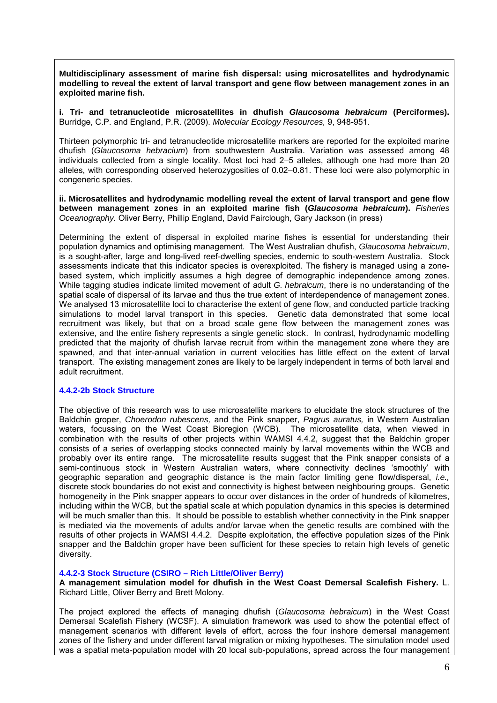**Multidisciplinary assessment of marine fish dispersal: using microsatellites and hydrodynamic modelling to reveal the extent of larval transport and gene flow between management zones in an exploited marine fish.** 

**i. Tri- and tetranucleotide microsatellites in dhufish** *Glaucosoma hebraicum* **(Perciformes).**  Burridge, C.P. and England, P.R. (2009). *Molecular Ecology Resources,* 9, 948-951.

Thirteen polymorphic tri- and tetranucleotide microsatellite markers are reported for the exploited marine dhufish (*Glaucosoma hebracium*) from southwestern Australia. Variation was assessed among 48 individuals collected from a single locality. Most loci had 2–5 alleles, although one had more than 20 alleles, with corresponding observed heterozygosities of 0.02–0.81. These loci were also polymorphic in congeneric species.

**ii. Microsatellites and hydrodynamic modelling reveal the extent of larval transport and gene flow between management zones in an exploited marine fish (***Glaucosoma hebraicum***).** *Fisheries Oceanography.* Oliver Berry, Phillip England, David Fairclough, Gary Jackson (in press)

Determining the extent of dispersal in exploited marine fishes is essential for understanding their population dynamics and optimising management. The West Australian dhufish, *Glaucosoma hebraicum*, is a sought-after, large and long-lived reef-dwelling species, endemic to south-western Australia. Stock assessments indicate that this indicator species is overexploited. The fishery is managed using a zonebased system, which implicitly assumes a high degree of demographic independence among zones. While tagging studies indicate limited movement of adult *G. hebraicum*, there is no understanding of the spatial scale of dispersal of its larvae and thus the true extent of interdependence of management zones. We analysed 13 microsatellite loci to characterise the extent of gene flow, and conducted particle tracking simulations to model larval transport in this species. Genetic data demonstrated that some local recruitment was likely, but that on a broad scale gene flow between the management zones was extensive, and the entire fishery represents a single genetic stock. In contrast, hydrodynamic modelling predicted that the majority of dhufish larvae recruit from within the management zone where they are spawned, and that inter-annual variation in current velocities has little effect on the extent of larval transport. The existing management zones are likely to be largely independent in terms of both larval and adult recruitment.

#### **4.4.2-2b Stock Structure**

The objective of this research was to use microsatellite markers to elucidate the stock structures of the Baldchin groper, *Choerodon rubescens,* and the Pink snapper, *Pagrus auratus,* in Western Australian waters, focussing on the West Coast Bioregion (WCB). The microsatellite data, when viewed in combination with the results of other projects within WAMSI 4.4.2, suggest that the Baldchin groper consists of a series of overlapping stocks connected mainly by larval movements within the WCB and probably over its entire range. The microsatellite results suggest that the Pink snapper consists of a semi-continuous stock in Western Australian waters, where connectivity declines 'smoothly' with geographic separation and geographic distance is the main factor limiting gene flow/dispersal, *i.e.,* discrete stock boundaries do not exist and connectivity is highest between neighbouring groups. Genetic homogeneity in the Pink snapper appears to occur over distances in the order of hundreds of kilometres, including within the WCB, but the spatial scale at which population dynamics in this species is determined will be much smaller than this. It should be possible to establish whether connectivity in the Pink snapper is mediated via the movements of adults and/or larvae when the genetic results are combined with the results of other projects in WAMSI 4.4.2. Despite exploitation, the effective population sizes of the Pink snapper and the Baldchin groper have been sufficient for these species to retain high levels of genetic diversity.

# **4.4.2-3 Stock Structure (CSIRO – Rich Little/Oliver Berry)**

**A management simulation model for dhufish in the West Coast Demersal Scalefish Fishery.** L. Richard Little, Oliver Berry and Brett Molony.

The project explored the effects of managing dhufish (*Glaucosoma hebraicum*) in the West Coast Demersal Scalefish Fishery (WCSF). A simulation framework was used to show the potential effect of management scenarios with different levels of effort, across the four inshore demersal management zones of the fishery and under different larval migration or mixing hypotheses. The simulation model used was a spatial meta-population model with 20 local sub-populations, spread across the four management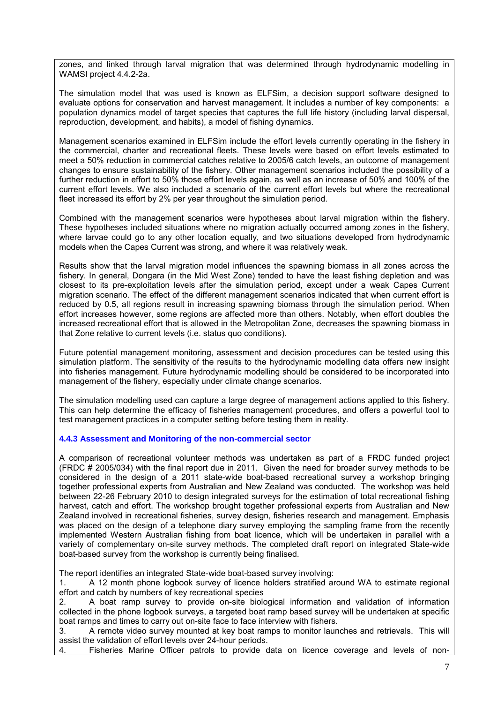zones, and linked through larval migration that was determined through hydrodynamic modelling in WAMSI project 4.4.2-2a.

The simulation model that was used is known as ELFSim, a decision support software designed to evaluate options for conservation and harvest management. It includes a number of key components: a population dynamics model of target species that captures the full life history (including larval dispersal, reproduction, development, and habits), a model of fishing dynamics.

Management scenarios examined in ELFSim include the effort levels currently operating in the fishery in the commercial, charter and recreational fleets. These levels were based on effort levels estimated to meet a 50% reduction in commercial catches relative to 2005/6 catch levels, an outcome of management changes to ensure sustainability of the fishery. Other management scenarios included the possibility of a further reduction in effort to 50% those effort levels again, as well as an increase of 50% and 100% of the current effort levels. We also included a scenario of the current effort levels but where the recreational fleet increased its effort by 2% per year throughout the simulation period.

Combined with the management scenarios were hypotheses about larval migration within the fishery. These hypotheses included situations where no migration actually occurred among zones in the fishery, where larvae could go to any other location equally, and two situations developed from hydrodynamic models when the Capes Current was strong, and where it was relatively weak.

Results show that the larval migration model influences the spawning biomass in all zones across the fishery. In general, Dongara (in the Mid West Zone) tended to have the least fishing depletion and was closest to its pre-exploitation levels after the simulation period, except under a weak Capes Current migration scenario. The effect of the different management scenarios indicated that when current effort is reduced by 0.5, all regions result in increasing spawning biomass through the simulation period. When effort increases however, some regions are affected more than others. Notably, when effort doubles the increased recreational effort that is allowed in the Metropolitan Zone, decreases the spawning biomass in that Zone relative to current levels (i.e. status quo conditions).

Future potential management monitoring, assessment and decision procedures can be tested using this simulation platform. The sensitivity of the results to the hydrodynamic modelling data offers new insight into fisheries management. Future hydrodynamic modelling should be considered to be incorporated into management of the fishery, especially under climate change scenarios.

The simulation modelling used can capture a large degree of management actions applied to this fishery. This can help determine the efficacy of fisheries management procedures, and offers a powerful tool to test management practices in a computer setting before testing them in reality.

# **4.4.3 Assessment and Monitoring of the non-commercial sector**

A comparison of recreational volunteer methods was undertaken as part of a FRDC funded project (FRDC # 2005/034) with the final report due in 2011. Given the need for broader survey methods to be considered in the design of a 2011 state-wide boat-based recreational survey a workshop bringing together professional experts from Australian and New Zealand was conducted. The workshop was held between 22-26 February 2010 to design integrated surveys for the estimation of total recreational fishing harvest, catch and effort. The workshop brought together professional experts from Australian and New Zealand involved in recreational fisheries, survey design, fisheries research and management. Emphasis was placed on the design of a telephone diary survey employing the sampling frame from the recently implemented Western Australian fishing from boat licence, which will be undertaken in parallel with a variety of complementary on-site survey methods. The completed draft report on integrated State-wide boat-based survey from the workshop is currently being finalised.

The report identifies an integrated State-wide boat-based survey involving:

1. A 12 month phone logbook survey of licence holders stratified around WA to estimate regional effort and catch by numbers of key recreational species

2. A boat ramp survey to provide on-site biological information and validation of information collected in the phone logbook surveys, a targeted boat ramp based survey will be undertaken at specific boat ramps and times to carry out on-site face to face interview with fishers.

3. A remote video survey mounted at key boat ramps to monitor launches and retrievals. This will assist the validation of effort levels over 24-hour periods.

4. Fisheries Marine Officer patrols to provide data on licence coverage and levels of non-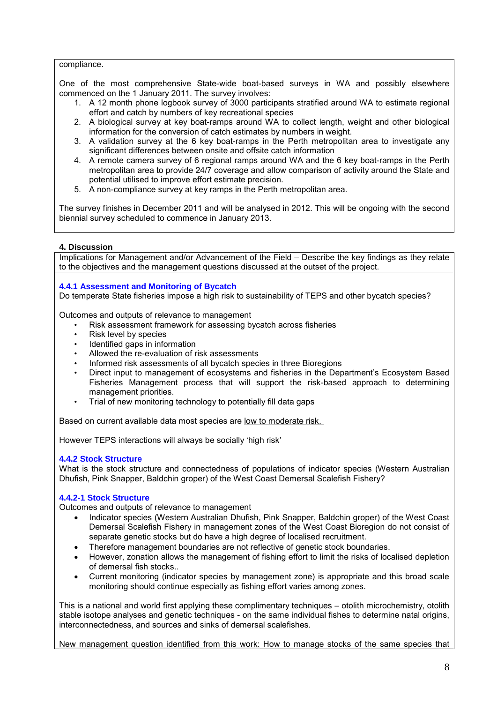#### compliance.

One of the most comprehensive State-wide boat-based surveys in WA and possibly elsewhere commenced on the 1 January 2011. The survey involves:

- 1. A 12 month phone logbook survey of 3000 participants stratified around WA to estimate regional effort and catch by numbers of key recreational species
- 2. A biological survey at key boat-ramps around WA to collect length, weight and other biological information for the conversion of catch estimates by numbers in weight.
- 3. A validation survey at the 6 key boat-ramps in the Perth metropolitan area to investigate any significant differences between onsite and offsite catch information
- 4. A remote camera survey of 6 regional ramps around WA and the 6 key boat-ramps in the Perth metropolitan area to provide 24/7 coverage and allow comparison of activity around the State and potential utilised to improve effort estimate precision.
- 5. A non-compliance survey at key ramps in the Perth metropolitan area.

The survey finishes in December 2011 and will be analysed in 2012. This will be ongoing with the second biennial survey scheduled to commence in January 2013.

# **4. Discussion**

Implications for Management and/or Advancement of the Field – Describe the key findings as they relate to the objectives and the management questions discussed at the outset of the project.

# **4.4.1 Assessment and Monitoring of Bycatch**

Do temperate State fisheries impose a high risk to sustainability of TEPS and other bycatch species?

Outcomes and outputs of relevance to management

- Risk assessment framework for assessing bycatch across fisheries
- Risk level by species
- Identified gaps in information
- Allowed the re-evaluation of risk assessments
- Informed risk assessments of all bycatch species in three Bioregions
- Direct input to management of ecosystems and fisheries in the Department's Ecosystem Based Fisheries Management process that will support the risk-based approach to determining management priorities.
- Trial of new monitoring technology to potentially fill data gaps

Based on current available data most species are low to moderate risk.

However TEPS interactions will always be socially 'high risk'

# **4.4.2 Stock Structure**

What is the stock structure and connectedness of populations of indicator species (Western Australian Dhufish, Pink Snapper, Baldchin groper) of the West Coast Demersal Scalefish Fishery?

# **4.4.2-1 Stock Structure**

Outcomes and outputs of relevance to management

- Indicator species (Western Australian Dhufish, Pink Snapper, Baldchin groper) of the West Coast Demersal Scalefish Fishery in management zones of the West Coast Bioregion do not consist of separate genetic stocks but do have a high degree of localised recruitment.
- Therefore management boundaries are not reflective of genetic stock boundaries.
- However, zonation allows the management of fishing effort to limit the risks of localised depletion of demersal fish stocks..
- Current monitoring (indicator species by management zone) is appropriate and this broad scale monitoring should continue especially as fishing effort varies among zones.

This is a national and world first applying these complimentary techniques – otolith microchemistry, otolith stable isotope analyses and genetic techniques - on the same individual fishes to determine natal origins, interconnectedness, and sources and sinks of demersal scalefishes.

New management question identified from this work: How to manage stocks of the same species that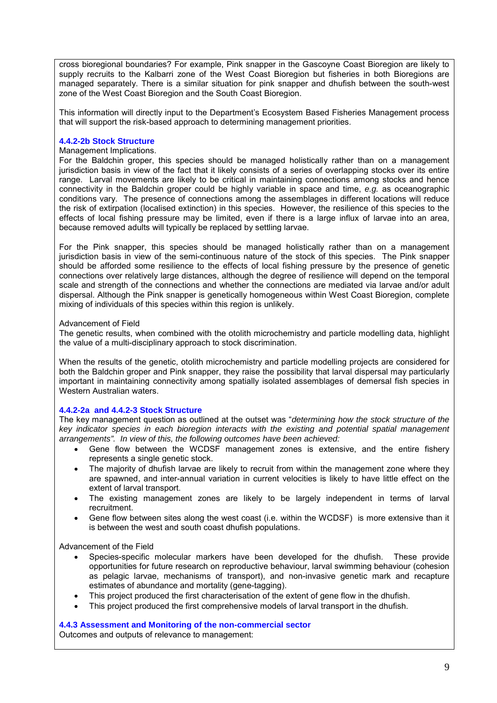cross bioregional boundaries? For example, Pink snapper in the Gascoyne Coast Bioregion are likely to supply recruits to the Kalbarri zone of the West Coast Bioregion but fisheries in both Bioregions are managed separately. There is a similar situation for pink snapper and dhufish between the south-west zone of the West Coast Bioregion and the South Coast Bioregion.

This information will directly input to the Department's Ecosystem Based Fisheries Management process that will support the risk-based approach to determining management priorities.

# **4.4.2-2b Stock Structure**

# Management Implications.

For the Baldchin groper, this species should be managed holistically rather than on a management jurisdiction basis in view of the fact that it likely consists of a series of overlapping stocks over its entire range. Larval movements are likely to be critical in maintaining connections among stocks and hence connectivity in the Baldchin groper could be highly variable in space and time, *e.g.* as oceanographic conditions vary. The presence of connections among the assemblages in different locations will reduce the risk of extirpation (localised extinction) in this species. However, the resilience of this species to the effects of local fishing pressure may be limited, even if there is a large influx of larvae into an area, because removed adults will typically be replaced by settling larvae.

For the Pink snapper, this species should be managed holistically rather than on a management jurisdiction basis in view of the semi-continuous nature of the stock of this species. The Pink snapper should be afforded some resilience to the effects of local fishing pressure by the presence of genetic connections over relatively large distances, although the degree of resilience will depend on the temporal scale and strength of the connections and whether the connections are mediated via larvae and/or adult dispersal. Although the Pink snapper is genetically homogeneous within West Coast Bioregion, complete mixing of individuals of this species within this region is unlikely.

#### Advancement of Field

The genetic results, when combined with the otolith microchemistry and particle modelling data, highlight the value of a multi-disciplinary approach to stock discrimination.

When the results of the genetic, otolith microchemistry and particle modelling projects are considered for both the Baldchin groper and Pink snapper, they raise the possibility that larval dispersal may particularly important in maintaining connectivity among spatially isolated assemblages of demersal fish species in Western Australian waters.

# **4.4.2-2a and 4.4.2-3 Stock Structure**

The key management question as outlined at the outset was "*determining how the stock structure of the key indicator species in each bioregion interacts with the existing and potential spatial management arrangements". In view of this, the following outcomes have been achieved:*

- Gene flow between the WCDSF management zones is extensive, and the entire fishery represents a single genetic stock.
- The majority of dhufish larvae are likely to recruit from within the management zone where they are spawned, and inter-annual variation in current velocities is likely to have little effect on the extent of larval transport.
- The existing management zones are likely to be largely independent in terms of larval recruitment.
- Gene flow between sites along the west coast (i.e. within the WCDSF) is more extensive than it is between the west and south coast dhufish populations.

# Advancement of the Field

- Species-specific molecular markers have been developed for the dhufish. These provide opportunities for future research on reproductive behaviour, larval swimming behaviour (cohesion as pelagic larvae, mechanisms of transport), and non-invasive genetic mark and recapture estimates of abundance and mortality (gene-tagging).
- This project produced the first characterisation of the extent of gene flow in the dhufish.
- This project produced the first comprehensive models of larval transport in the dhufish.

#### **4.4.3 Assessment and Monitoring of the non-commercial sector**

Outcomes and outputs of relevance to management: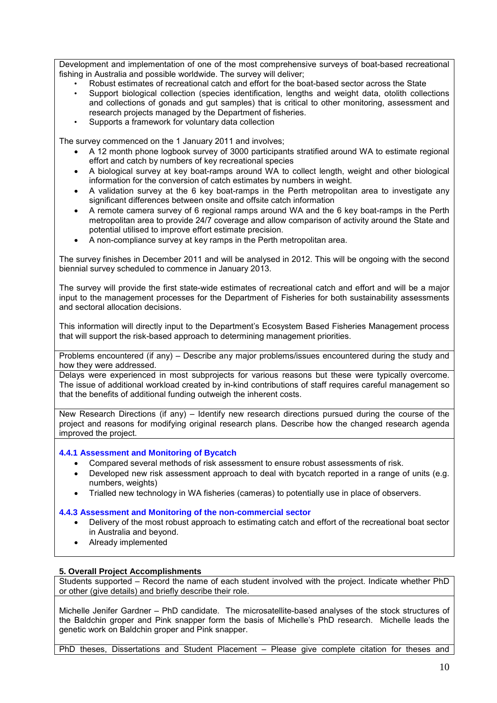Development and implementation of one of the most comprehensive surveys of boat-based recreational fishing in Australia and possible worldwide. The survey will deliver;

- Robust estimates of recreational catch and effort for the boat-based sector across the State
- Support biological collection (species identification, lengths and weight data, otolith collections and collections of gonads and gut samples) that is critical to other monitoring, assessment and research projects managed by the Department of fisheries.
- Supports a framework for voluntary data collection

The survey commenced on the 1 January 2011 and involves;

- A 12 month phone logbook survey of 3000 participants stratified around WA to estimate regional effort and catch by numbers of key recreational species
- A biological survey at key boat-ramps around WA to collect length, weight and other biological information for the conversion of catch estimates by numbers in weight.
- A validation survey at the 6 key boat-ramps in the Perth metropolitan area to investigate any significant differences between onsite and offsite catch information
- A remote camera survey of 6 regional ramps around WA and the 6 key boat-ramps in the Perth metropolitan area to provide 24/7 coverage and allow comparison of activity around the State and potential utilised to improve effort estimate precision.
- A non-compliance survey at key ramps in the Perth metropolitan area.

The survey finishes in December 2011 and will be analysed in 2012. This will be ongoing with the second biennial survey scheduled to commence in January 2013.

The survey will provide the first state-wide estimates of recreational catch and effort and will be a major input to the management processes for the Department of Fisheries for both sustainability assessments and sectoral allocation decisions.

This information will directly input to the Department's Ecosystem Based Fisheries Management process that will support the risk-based approach to determining management priorities.

Problems encountered (if any) – Describe any major problems/issues encountered during the study and how they were addressed.

Delays were experienced in most subprojects for various reasons but these were typically overcome. The issue of additional workload created by in-kind contributions of staff requires careful management so that the benefits of additional funding outweigh the inherent costs.

New Research Directions (if any) – Identify new research directions pursued during the course of the project and reasons for modifying original research plans. Describe how the changed research agenda improved the project.

# **4.4.1 Assessment and Monitoring of Bycatch**

- Compared several methods of risk assessment to ensure robust assessments of risk.
- Developed new risk assessment approach to deal with bycatch reported in a range of units (e.g. numbers, weights)
- Trialled new technology in WA fisheries (cameras) to potentially use in place of observers.

# **4.4.3 Assessment and Monitoring of the non-commercial sector**

- Delivery of the most robust approach to estimating catch and effort of the recreational boat sector in Australia and beyond.
- Already implemented

# **5. Overall Project Accomplishments**

Students supported – Record the name of each student involved with the project. Indicate whether PhD or other (give details) and briefly describe their role.

Michelle Jenifer Gardner – PhD candidate. The microsatellite-based analyses of the stock structures of the Baldchin groper and Pink snapper form the basis of Michelle's PhD research. Michelle leads the genetic work on Baldchin groper and Pink snapper.

PhD theses, Dissertations and Student Placement - Please give complete citation for theses and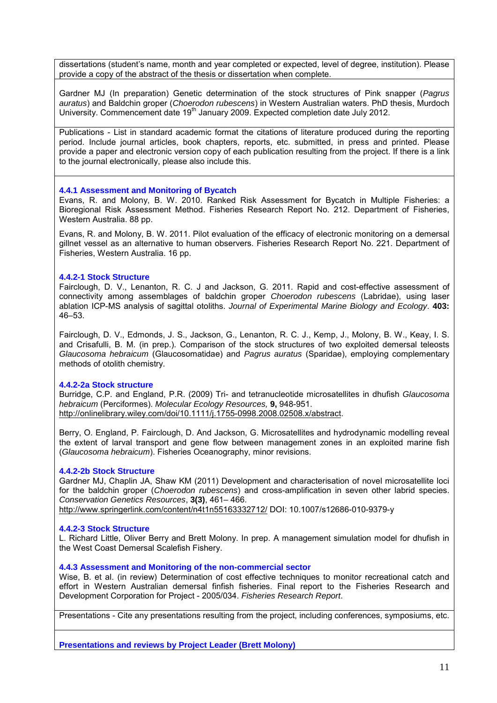dissertations (student's name, month and year completed or expected, level of degree, institution). Please provide a copy of the abstract of the thesis or dissertation when complete.

Gardner MJ (In preparation) Genetic determination of the stock structures of Pink snapper (*Pagrus auratus*) and Baldchin groper (*Choerodon rubescens*) in Western Australian waters. PhD thesis, Murdoch University. Commencement date 19<sup>th</sup> January 2009. Expected completion date July 2012.

Publications - List in standard academic format the citations of literature produced during the reporting period. Include journal articles, book chapters, reports, etc. submitted, in press and printed. Please provide a paper and electronic version copy of each publication resulting from the project. If there is a link to the journal electronically, please also include this.

#### **4.4.1 Assessment and Monitoring of Bycatch**

Evans, R. and Molony, B. W. 2010. Ranked Risk Assessment for Bycatch in Multiple Fisheries: a Bioregional Risk Assessment Method. Fisheries Research Report No. 212. Department of Fisheries, Western Australia. 88 pp.

Evans, R. and Molony, B. W. 2011. Pilot evaluation of the efficacy of electronic monitoring on a demersal gillnet vessel as an alternative to human observers. Fisheries Research Report No. 221. Department of Fisheries, Western Australia. 16 pp.

#### **4.4.2-1 Stock Structure**

Fairclough, D. V., Lenanton, R. C. J and Jackson, G. 2011. Rapid and cost-effective assessment of connectivity among assemblages of baldchin groper *Choerodon rubescens* (Labridae), using laser ablation ICP-MS analysis of sagittal otoliths. *Journal of Experimental Marine Biology and Ecology*. **403:** 46–53.

Fairclough, D. V., Edmonds, J. S., Jackson, G., Lenanton, R. C. J., Kemp, J., Molony, B. W., Keay, I. S. and Crisafulli, B. M. (in prep.). Comparison of the stock structures of two exploited demersal teleosts *Glaucosoma hebraicum* (Glaucosomatidae) and *Pagrus auratus* (Sparidae), employing complementary methods of otolith chemistry.

#### **4.4.2-2a Stock structure**

Burridge, C.P. and England, P.R. (2009) Tri- and tetranucleotide microsatellites in dhufish *Glaucosoma hebraicum* (Perciformes). *Molecular Ecology Resources,* **9,** 948-951. [http://onlinelibrary.wiley.com/doi/10.1111/j.1755-0998.2008.02508.x/abstract.](http://onlinelibrary.wiley.com/doi/10.1111/j.1755-0998.2008.02508.x/abstract)

Berry, O. England, P. Fairclough, D. And Jackson, G. Microsatellites and hydrodynamic modelling reveal the extent of larval transport and gene flow between management zones in an exploited marine fish (*Glaucosoma hebraicum*). Fisheries Oceanography, minor revisions.

# **4.4.2-2b Stock Structure**

Gardner MJ, Chaplin JA, Shaw KM (2011) Development and characterisation of novel microsatellite loci for the baldchin groper (*Choerodon rubescens*) and cross-amplification in seven other labrid species. *Conservation Genetics Resources*, **3(3)**, 461– 466.

# <http://www.springerlink.com/content/n4t1n55163332712/> DOI: 10.1007/s12686-010-9379-y

# **4.4.2-3 Stock Structure**

L. Richard Little, Oliver Berry and Brett Molony. In prep. A management simulation model for dhufish in the West Coast Demersal Scalefish Fishery.

#### **4.4.3 Assessment and Monitoring of the non-commercial sector**

Wise, B. et al. (in review) Determination of cost effective techniques to monitor recreational catch and effort in Western Australian demersal finfish fisheries. Final report to the Fisheries Research and Development Corporation for Project - 2005/034. *Fisheries Research Report*.

Presentations - Cite any presentations resulting from the project, including conferences, symposiums, etc.

**Presentations and reviews by Project Leader (Brett Molony)**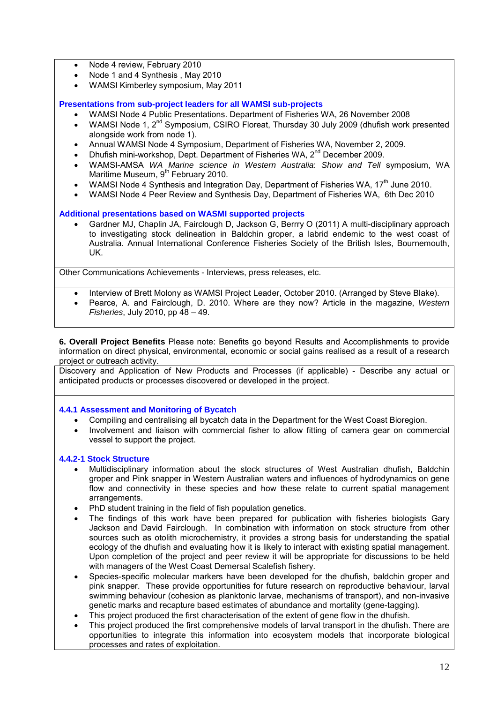- Node 4 review, February 2010
- Node 1 and 4 Synthesis, May 2010
- WAMSI Kimberley symposium, May 2011

# **Presentations from sub-project leaders for all WAMSI sub-projects**

- WAMSI Node 4 Public Presentations. Department of Fisheries WA, 26 November 2008
- WAMSI Node 1, 2nd Symposium, CSIRO Floreat, Thursday 30 July 2009 (dhufish work presented alongside work from node 1).
- Annual WAMSI Node 4 Symposium, Department of Fisheries WA, November 2, 2009.
- Dhufish mini-workshop, Dept. Department of Fisheries WA, 2nd December 2009.
- WAMSI-AMSA *WA Marine science in Western Australia*: *Show and Tell* symposium, WA Maritime Museum, 9<sup>th</sup> February 2010.
- WAMSI Node 4 Synthesis and Integration Day, Department of Fisheries WA, 17<sup>th</sup> June 2010.
- WAMSI Node 4 Peer Review and Synthesis Day, Department of Fisheries WA, 6th Dec 2010

# **Additional presentations based on WASMI supported projects**

• Gardner MJ, Chaplin JA, Fairclough D, Jackson G, Berrry O (2011) A multi-disciplinary approach to investigating stock delineation in Baldchin groper, a labrid endemic to the west coast of Australia. Annual International Conference Fisheries Society of the British Isles, Bournemouth, UK.

Other Communications Achievements - Interviews, press releases, etc.

- Interview of Brett Molony as WAMSI Project Leader, October 2010. (Arranged by Steve Blake).
- Pearce, A. and Fairclough, D. 2010. Where are they now? Article in the magazine, *Western Fisheries*, July 2010, pp 48 – 49.

**6. Overall Project Benefits** Please note: Benefits go beyond Results and Accomplishments to provide information on direct physical, environmental, economic or social gains realised as a result of a research project or outreach activity.

Discovery and Application of New Products and Processes (if applicable) - Describe any actual or anticipated products or processes discovered or developed in the project.

#### **4.4.1 Assessment and Monitoring of Bycatch**

- Compiling and centralising all bycatch data in the Department for the West Coast Bioregion.
- Involvement and liaison with commercial fisher to allow fitting of camera gear on commercial vessel to support the project.

# **4.4.2-1 Stock Structure**

- Multidisciplinary information about the stock structures of West Australian dhufish, Baldchin groper and Pink snapper in Western Australian waters and influences of hydrodynamics on gene flow and connectivity in these species and how these relate to current spatial management arrangements.
- PhD student training in the field of fish population genetics.
- The findings of this work have been prepared for publication with fisheries biologists Gary Jackson and David Fairclough. In combination with information on stock structure from other sources such as otolith microchemistry, it provides a strong basis for understanding the spatial ecology of the dhufish and evaluating how it is likely to interact with existing spatial management. Upon completion of the project and peer review it will be appropriate for discussions to be held with managers of the West Coast Demersal Scalefish fishery.
- Species-specific molecular markers have been developed for the dhufish, baldchin groper and pink snapper. These provide opportunities for future research on reproductive behaviour, larval swimming behaviour (cohesion as planktonic larvae, mechanisms of transport), and non-invasive genetic marks and recapture based estimates of abundance and mortality (gene-tagging).
- This project produced the first characterisation of the extent of gene flow in the dhufish.
- This project produced the first comprehensive models of larval transport in the dhufish. There are opportunities to integrate this information into ecosystem models that incorporate biological processes and rates of exploitation.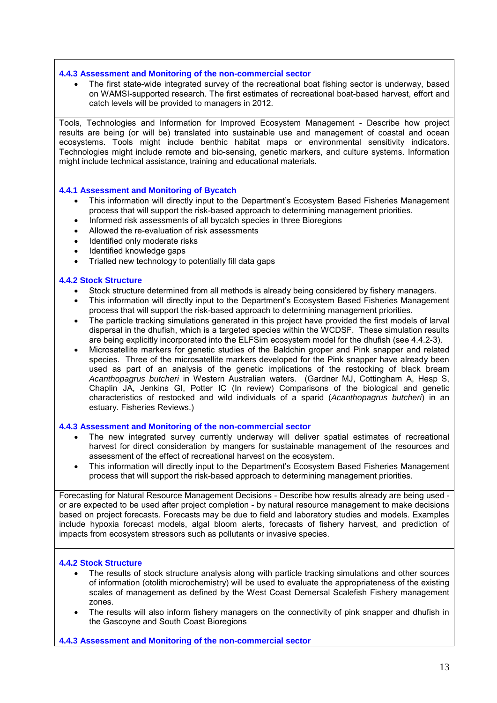#### **4.4.3 Assessment and Monitoring of the non-commercial sector**

The first state-wide integrated survey of the recreational boat fishing sector is underway, based on WAMSI-supported research. The first estimates of recreational boat-based harvest, effort and catch levels will be provided to managers in 2012.

Tools, Technologies and Information for Improved Ecosystem Management - Describe how project results are being (or will be) translated into sustainable use and management of coastal and ocean ecosystems. Tools might include benthic habitat maps or environmental sensitivity indicators. Technologies might include remote and bio-sensing, genetic markers, and culture systems. Information might include technical assistance, training and educational materials.

#### **4.4.1 Assessment and Monitoring of Bycatch**

- This information will directly input to the Department's Ecosystem Based Fisheries Management process that will support the risk-based approach to determining management priorities.
- Informed risk assessments of all bycatch species in three Bioregions
- Allowed the re-evaluation of risk assessments
- Identified only moderate risks
- Identified knowledge gaps
- Trialled new technology to potentially fill data gaps

#### **4.4.2 Stock Structure**

- Stock structure determined from all methods is already being considered by fishery managers.
- This information will directly input to the Department's Ecosystem Based Fisheries Management process that will support the risk-based approach to determining management priorities.
- The particle tracking simulations generated in this project have provided the first models of larval dispersal in the dhufish, which is a targeted species within the WCDSF. These simulation results are being explicitly incorporated into the ELFSim ecosystem model for the dhufish (see 4.4.2-3).
- Microsatellite markers for genetic studies of the Baldchin groper and Pink snapper and related species. Three of the microsatellite markers developed for the Pink snapper have already been used as part of an analysis of the genetic implications of the restocking of black bream *Acanthopagrus butcheri* in Western Australian waters. (Gardner MJ, Cottingham A, Hesp S, Chaplin JA, Jenkins GI, Potter IC (In review) Comparisons of the biological and genetic characteristics of restocked and wild individuals of a sparid (*Acanthopagrus butcheri*) in an estuary. Fisheries Reviews.)

#### **4.4.3 Assessment and Monitoring of the non-commercial sector**

- The new integrated survey currently underway will deliver spatial estimates of recreational harvest for direct consideration by mangers for sustainable management of the resources and assessment of the effect of recreational harvest on the ecosystem.
- This information will directly input to the Department's Ecosystem Based Fisheries Management process that will support the risk-based approach to determining management priorities.

Forecasting for Natural Resource Management Decisions - Describe how results already are being used or are expected to be used after project completion - by natural resource management to make decisions based on project forecasts. Forecasts may be due to field and laboratory studies and models. Examples include hypoxia forecast models, algal bloom alerts, forecasts of fishery harvest, and prediction of impacts from ecosystem stressors such as pollutants or invasive species.

# **4.4.2 Stock Structure**

- The results of stock structure analysis along with particle tracking simulations and other sources of information (otolith microchemistry) will be used to evaluate the appropriateness of the existing scales of management as defined by the West Coast Demersal Scalefish Fishery management zones.
- The results will also inform fishery managers on the connectivity of pink snapper and dhufish in the Gascoyne and South Coast Bioregions

**4.4.3 Assessment and Monitoring of the non-commercial sector**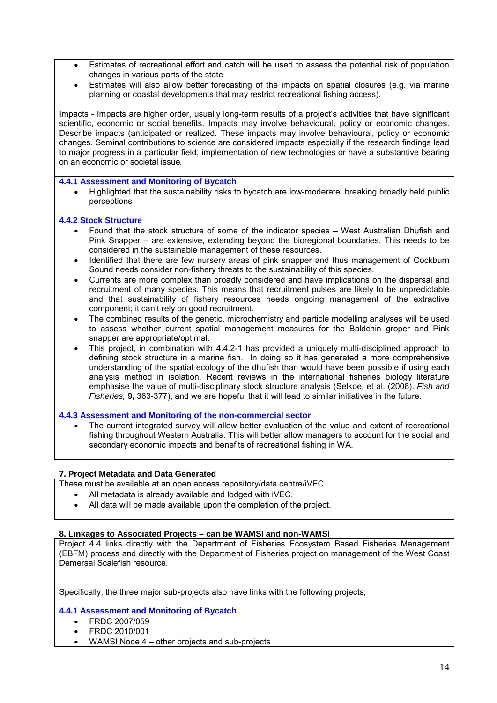- Estimates of recreational effort and catch will be used to assess the potential risk of population changes in various parts of the state
- Estimates will also allow better forecasting of the impacts on spatial closures (e.g. via marine planning or coastal developments that may restrict recreational fishing access).

Impacts - Impacts are higher order, usually long-term results of a project's activities that have significant scientific, economic or social benefits. Impacts may involve behavioural, policy or economic changes. Describe impacts (anticipated or realized. These impacts may involve behavioural, policy or economic changes. Seminal contributions to science are considered impacts especially if the research findings lead to major progress in a particular field, implementation of new technologies or have a substantive bearing on an economic or societal issue*.* 

# **4.4.1 Assessment and Monitoring of Bycatch**

• Highlighted that the sustainability risks to bycatch are low-moderate, breaking broadly held public perceptions

#### **4.4.2 Stock Structure**

- Found that the stock structure of some of the indicator species West Australian Dhufish and Pink Snapper – are extensive, extending beyond the bioregional boundaries. This needs to be considered in the sustainable management of these resources.
- Identified that there are few nursery areas of pink snapper and thus management of Cockburn Sound needs consider non-fishery threats to the sustainability of this species.
- Currents are more complex than broadly considered and have implications on the dispersal and recruitment of many species. This means that recruitment pulses are likely to be unpredictable and that sustainability of fishery resources needs ongoing management of the extractive component; it can't rely on good recruitment.
- The combined results of the genetic, microchemistry and particle modelling analyses will be used to assess whether current spatial management measures for the Baldchin groper and Pink snapper are appropriate/optimal.
- This project, in combination with 4.4.2-1 has provided a uniquely multi-disciplined approach to defining stock structure in a marine fish. In doing so it has generated a more comprehensive understanding of the spatial ecology of the dhufish than would have been possible if using each analysis method in isolation. Recent reviews in the international fisheries biology literature emphasise the value of multi-disciplinary stock structure analysis (Selkoe, et al. (2008). *Fish and Fisheries,* **9,** 363-377), and we are hopeful that it will lead to similar initiatives in the future.

# **4.4.3 Assessment and Monitoring of the non-commercial sector**

The current integrated survey will allow better evaluation of the value and extent of recreational fishing throughout Western Australia. This will better allow managers to account for the social and secondary economic impacts and benefits of recreational fishing in WA.

# **7. Project Metadata and Data Generated**

These must be available at an open access repository/data centre/iVEC.

- All metadata is already available and lodged with iVEC.
- All data will be made available upon the completion of the project.

#### **8. Linkages to Associated Projects – can be WAMSI and non-WAMSI**

Project 4.4 links directly with the Department of Fisheries Ecosystem Based Fisheries Management (EBFM) process and directly with the Department of Fisheries project on management of the West Coast Demersal Scalefish resource.

Specifically, the three major sub-projects also have links with the following projects;

# **4.4.1 Assessment and Monitoring of Bycatch**

- FRDC 2007/059
- FRDC 2010/001
- WAMSI Node 4 other projects and sub-projects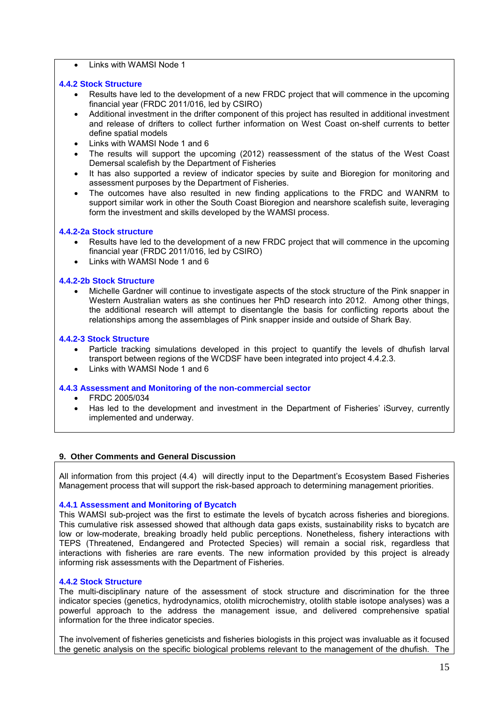• Links with WAMSI Node 1

# **4.4.2 Stock Structure**

- Results have led to the development of a new FRDC project that will commence in the upcoming financial year (FRDC 2011/016, led by CSIRO)
- Additional investment in the drifter component of this project has resulted in additional investment and release of drifters to collect further information on West Coast on-shelf currents to better define spatial models
- Links with WAMSI Node 1 and 6
- The results will support the upcoming (2012) reassessment of the status of the West Coast Demersal scalefish by the Department of Fisheries
- It has also supported a review of indicator species by suite and Bioregion for monitoring and assessment purposes by the Department of Fisheries.
- The outcomes have also resulted in new finding applications to the FRDC and WANRM to support similar work in other the South Coast Bioregion and nearshore scalefish suite, leveraging form the investment and skills developed by the WAMSI process.

# **4.4.2-2a Stock structure**

- Results have led to the development of a new FRDC project that will commence in the upcoming financial year (FRDC 2011/016, led by CSIRO)
- Links with WAMSI Node 1 and 6

# **4.4.2-2b Stock Structure**

• Michelle Gardner will continue to investigate aspects of the stock structure of the Pink snapper in Western Australian waters as she continues her PhD research into 2012. Among other things, the additional research will attempt to disentangle the basis for conflicting reports about the relationships among the assemblages of Pink snapper inside and outside of Shark Bay.

# **4.4.2-3 Stock Structure**

- Particle tracking simulations developed in this project to quantify the levels of dhufish larval transport between regions of the WCDSF have been integrated into project 4.4.2.3.
- Links with WAMSI Node 1 and 6

# **4.4.3 Assessment and Monitoring of the non-commercial sector**

- FRDC 2005/034
- Has led to the development and investment in the Department of Fisheries' iSurvey, currently implemented and underway.

# **9. Other Comments and General Discussion**

All information from this project (4.4) will directly input to the Department's Ecosystem Based Fisheries Management process that will support the risk-based approach to determining management priorities.

# **4.4.1 Assessment and Monitoring of Bycatch**

This WAMSI sub-project was the first to estimate the levels of bycatch across fisheries and bioregions. This cumulative risk assessed showed that although data gaps exists, sustainability risks to bycatch are low or low-moderate, breaking broadly held public perceptions. Nonetheless, fishery interactions with TEPS (Threatened, Endangered and Protected Species) will remain a social risk, regardless that interactions with fisheries are rare events. The new information provided by this project is already informing risk assessments with the Department of Fisheries.

# **4.4.2 Stock Structure**

The multi-disciplinary nature of the assessment of stock structure and discrimination for the three indicator species (genetics, hydrodynamics, otolith microchemistry, otolith stable isotope analyses) was a powerful approach to the address the management issue, and delivered comprehensive spatial information for the three indicator species.

The involvement of fisheries geneticists and fisheries biologists in this project was invaluable as it focused the genetic analysis on the specific biological problems relevant to the management of the dhufish. The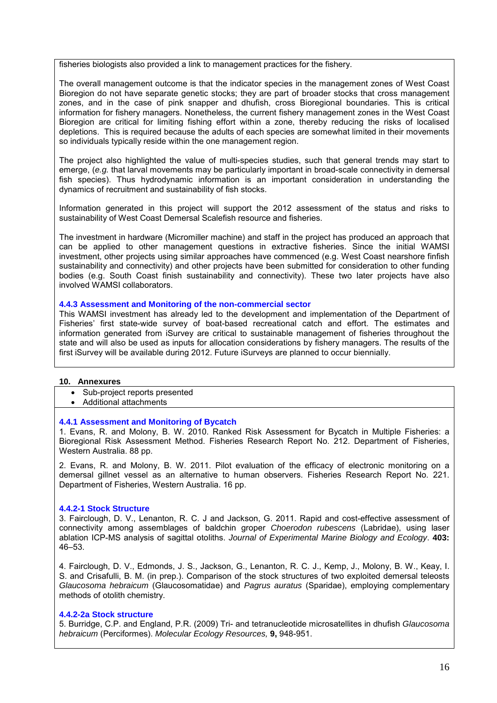fisheries biologists also provided a link to management practices for the fishery.

The overall management outcome is that the indicator species in the management zones of West Coast Bioregion do not have separate genetic stocks; they are part of broader stocks that cross management zones, and in the case of pink snapper and dhufish, cross Bioregional boundaries. This is critical information for fishery managers. Nonetheless, the current fishery management zones in the West Coast Bioregion are critical for limiting fishing effort within a zone, thereby reducing the risks of localised depletions. This is required because the adults of each species are somewhat limited in their movements so individuals typically reside within the one management region.

The project also highlighted the value of multi-species studies, such that general trends may start to emerge, (*e.g.* that larval movements may be particularly important in broad-scale connectivity in demersal fish species). Thus hydrodynamic information is an important consideration in understanding the dynamics of recruitment and sustainability of fish stocks.

Information generated in this project will support the 2012 assessment of the status and risks to sustainability of West Coast Demersal Scalefish resource and fisheries.

The investment in hardware (Micromiller machine) and staff in the project has produced an approach that can be applied to other management questions in extractive fisheries. Since the initial WAMSI investment, other projects using similar approaches have commenced (e.g. West Coast nearshore finfish sustainability and connectivity) and other projects have been submitted for consideration to other funding bodies (e.g. South Coast finish sustainability and connectivity). These two later projects have also involved WAMSI collaborators.

#### **4.4.3 Assessment and Monitoring of the non-commercial sector**

This WAMSI investment has already led to the development and implementation of the Department of Fisheries' first state-wide survey of boat-based recreational catch and effort. The estimates and information generated from iSurvey are critical to sustainable management of fisheries throughout the state and will also be used as inputs for allocation considerations by fishery managers. The results of the first iSurvey will be available during 2012. Future iSurveys are planned to occur biennially.

#### **10. Annexures**

• Sub-project reports presented

• Additional attachments

# **4.4.1 Assessment and Monitoring of Bycatch**

1. Evans, R. and Molony, B. W. 2010. Ranked Risk Assessment for Bycatch in Multiple Fisheries: a Bioregional Risk Assessment Method. Fisheries Research Report No. 212. Department of Fisheries, Western Australia. 88 pp.

2. Evans, R. and Molony, B. W. 2011. Pilot evaluation of the efficacy of electronic monitoring on a demersal gillnet vessel as an alternative to human observers. Fisheries Research Report No. 221. Department of Fisheries, Western Australia. 16 pp.

# **4.4.2-1 Stock Structure**

3. Fairclough, D. V., Lenanton, R. C. J and Jackson, G. 2011. Rapid and cost-effective assessment of connectivity among assemblages of baldchin groper *Choerodon rubescens* (Labridae), using laser ablation ICP-MS analysis of sagittal otoliths. *Journal of Experimental Marine Biology and Ecology*. **403:** 46–53.

4. Fairclough, D. V., Edmonds, J. S., Jackson, G., Lenanton, R. C. J., Kemp, J., Molony, B. W., Keay, I. S. and Crisafulli, B. M. (in prep.). Comparison of the stock structures of two exploited demersal teleosts *Glaucosoma hebraicum* (Glaucosomatidae) and *Pagrus auratus* (Sparidae), employing complementary methods of otolith chemistry.

# **4.4.2-2a Stock structure**

5. Burridge, C.P. and England, P.R. (2009) Tri- and tetranucleotide microsatellites in dhufish *Glaucosoma hebraicum* (Perciformes). *Molecular Ecology Resources,* **9,** 948-951.